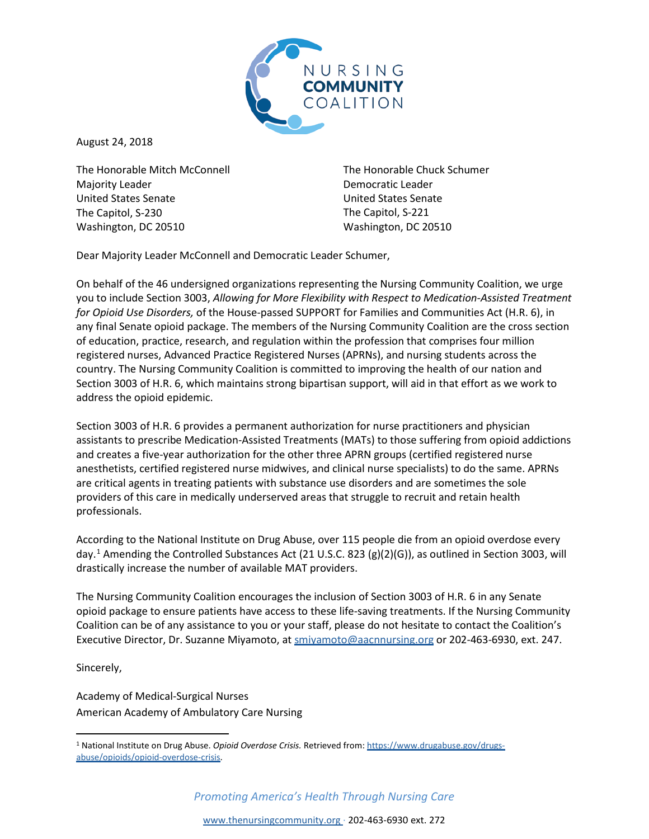

August 24, 2018

The Honorable Mitch McConnell Majority Leader United States Senate The Capitol, S-230 Washington, DC 20510

The Honorable Chuck Schumer Democratic Leader United States Senate The Capitol, S-221 Washington, DC 20510

Dear Majority Leader McConnell and Democratic Leader Schumer,

On behalf of the 46 undersigned organizations representing the Nursing Community Coalition, we urge you to include Section 3003, *Allowing for More Flexibility with Respect to Medication-Assisted Treatment for Opioid Use Disorders,* of the House-passed SUPPORT for Families and Communities Act (H.R. 6), in any final Senate opioid package. The members of the Nursing Community Coalition are the cross section of education, practice, research, and regulation within the profession that comprises four million registered nurses, Advanced Practice Registered Nurses (APRNs), and nursing students across the country. The Nursing Community Coalition is committed to improving the health of our nation and Section 3003 of H.R. 6, which maintains strong bipartisan support, will aid in that effort as we work to address the opioid epidemic.

Section 3003 of H.R. 6 provides a permanent authorization for nurse practitioners and physician assistants to prescribe Medication-Assisted Treatments (MATs) to those suffering from opioid addictions and creates a five-year authorization for the other three APRN groups (certified registered nurse anesthetists, certified registered nurse midwives, and clinical nurse specialists) to do the same. APRNs are critical agents in treating patients with substance use disorders and are sometimes the sole providers of this care in medically underserved areas that struggle to recruit and retain health professionals.

According to the National Institute on Drug Abuse, over 115 people die from an opioid overdose every day.[1](#page-0-0) Amending the Controlled Substances Act (21 U.S.C. 823 (g)(2)(G)), as outlined in Section 3003, will drastically increase the number of available MAT providers.

The Nursing Community Coalition encourages the inclusion of Section 3003 of H.R. 6 in any Senate opioid package to ensure patients have access to these life-saving treatments. If the Nursing Community Coalition can be of any assistance to you or your staff, please do not hesitate to contact the Coalition's Executive Director, Dr. Suzanne Miyamoto, at smiyamoto@aacnnursing.org or 202-463-6930, ext. 247.

Sincerely,

Academy of Medical-Surgical Nurses American Academy of Ambulatory Care Nursing

*Promoting America's Health Through Nursing Care*

<span id="page-0-0"></span> <sup>1</sup> National Institute on Drug Abuse. *Opioid Overdose Crisis.* Retrieved from[: https://www.drugabuse.gov/drugs](https://www.drugabuse.gov/drugs-abuse/opioids/opioid-overdose-crisis)[abuse/opioids/opioid-overdose-crisis.](https://www.drugabuse.gov/drugs-abuse/opioids/opioid-overdose-crisis)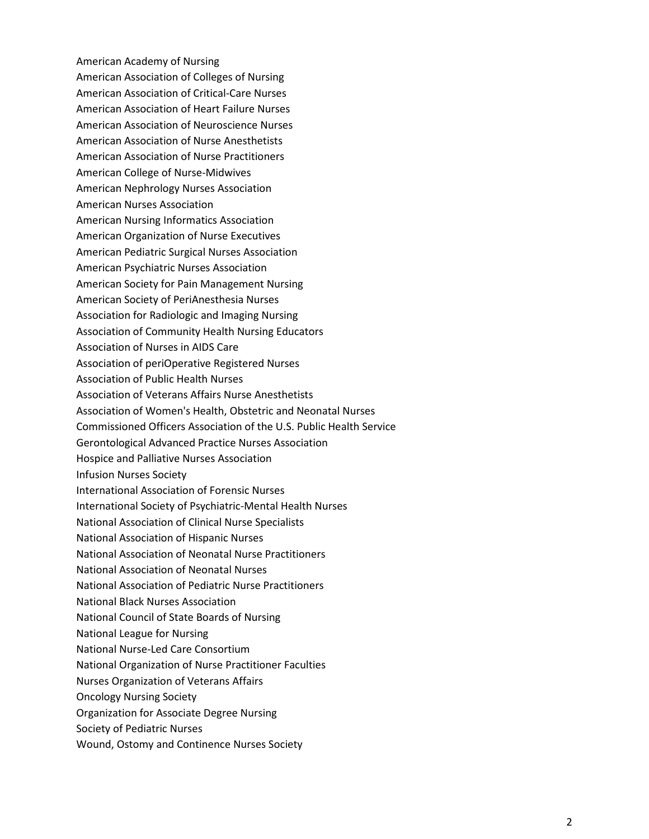American Academy of Nursing American Association of Colleges of Nursing American Association of Critical-Care Nurses American Association of Heart Failure Nurses American Association of Neuroscience Nurses American Association of Nurse Anesthetists American Association of Nurse Practitioners American College of Nurse-Midwives American Nephrology Nurses Association American Nurses Association American Nursing Informatics Association American Organization of Nurse Executives American Pediatric Surgical Nurses Association American Psychiatric Nurses Association American Society for Pain Management Nursing American Society of PeriAnesthesia Nurses Association for Radiologic and Imaging Nursing Association of Community Health Nursing Educators Association of Nurses in AIDS Care Association of periOperative Registered Nurses Association of Public Health Nurses Association of Veterans Affairs Nurse Anesthetists Association of Women's Health, Obstetric and Neonatal Nurses Commissioned Officers Association of the U.S. Public Health Service Gerontological Advanced Practice Nurses Association Hospice and Palliative Nurses Association Infusion Nurses Society International Association of Forensic Nurses International Society of Psychiatric-Mental Health Nurses National Association of Clinical Nurse Specialists National Association of Hispanic Nurses National Association of Neonatal Nurse Practitioners National Association of Neonatal Nurses National Association of Pediatric Nurse Practitioners National Black Nurses Association National Council of State Boards of Nursing National League for Nursing National Nurse-Led Care Consortium National Organization of Nurse Practitioner Faculties Nurses Organization of Veterans Affairs Oncology Nursing Society Organization for Associate Degree Nursing Society of Pediatric Nurses Wound, Ostomy and Continence Nurses Society